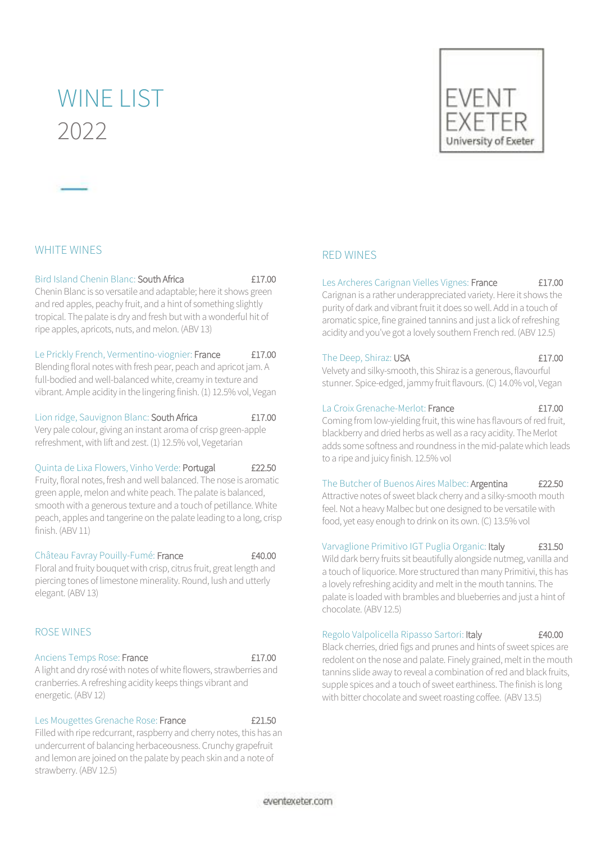## WINE LIST 2022



## WHITE WINES

#### Bird Island Chenin Blanc: South Africa £17.00

Chenin Blanc is so versatile and adaptable; here it shows green and red apples, peachy fruit, and a hint of something slightly tropical. The palate is dry and fresh but with a wonderful hit of ripe apples, apricots, nuts, and melon. (ABV 13)

#### Le Prickly French, Vermentino-viognier: France £17.00

Blending floral notes with fresh pear, peach and apricot jam. A full-bodied and well-balanced white, creamy in texture and vibrant. Ample acidity in the lingering finish. (1) 12.5% vol, Vegan

## Lion ridge, Sauvignon Blanc: South Africa **£17.00**

Very pale colour, giving an instant aroma of crisp green-apple refreshment, with lift and zest. (1) 12.5% vol, Vegetarian

#### Quinta de Lixa Flowers, Vinho Verde: Portugal £22.50

Fruity, floral notes, fresh and well balanced. The nose is aromatic green apple, melon and white peach. The palate is balanced, smooth with a generous texture and a touch of petillance. White peach, apples and tangerine on the palate leading to a long, crisp finish. (ABV 11)

#### Château Favray Pouilly-Fumé: France E40.00

Floral and fruity bouquet with crisp, citrus fruit, great length and piercing tones of limestone minerality. Round, lush and utterly elegant. (ABV 13)

## ROSE WINES

#### Anciens Temps Rose: France **Election Contract Election** Canadian Election Contract Election Contract Election Con

A light and dry rosé with notes of white flowers, strawberries and cranberries. A refreshing acidity keeps things vibrant and energetic. (ABV 12)

#### Les Mougettes Grenache Rose: France **E21.50**

Filled with ripe redcurrant, raspberry and cherry notes, this has an undercurrent of balancing herbaceousness. Crunchy grapefruit and lemon are joined on the palate by peach skin and a note of strawberry. (ABV 12.5)

## RED WINES

## Les Archeres Carignan Vielles Vignes: France £17.00

Carignan is a rather underappreciated variety. Here it shows the purity of dark and vibrant fruit it does so well. Add in a touch of aromatic spice, fine grained tannins and just a lick of refreshing acidity and you've got a lovely southern French red. (ABV 12.5)

#### The Deep, Shiraz: USA **£17.00**

Velvety and silky-smooth, this Shiraz is a generous, flavourful stunner. Spice-edged, jammy fruit flavours. (C) 14.0% vol, Vegan

#### La Croix Grenache-Merlot: France **Eller** E17.00

Coming from low-yielding fruit, this wine has flavours of red fruit, blackberry and dried herbs as well as a racy acidity. The Merlot adds some softness and roundness in the mid-palate which leads to a ripe and juicy finish. 12.5% vol

#### The Butcher of Buenos Aires Malbec: Argentina £22.50

Attractive notes of sweet black cherry and a silky-smooth mouth feel. Not a heavy Malbec but one designed to be versatile with food, yet easy enough to drink on its own. (C) 13.5% vol

## Varvaglione Primitivo IGT Puglia Organic: Italy **£31.50**

Wild dark berry fruits sit beautifully alongside nutmeg, vanilla and a touch of liquorice. More structured than many Primitivi, this has a lovely refreshing acidity and melt in the mouth tannins. The palate is loaded with brambles and blueberries and just a hint of chocolate. (ABV 12.5)

#### Regolo Valpolicella Ripasso Sartori: Italy £40.00

Black cherries, dried figs and prunes and hints of sweet spices are redolent on the nose and palate. Finely grained, melt in the mouth tannins slide away to reveal a combination of red and black fruits, supple spices and a touch of sweet earthiness. The finish is long with bitter chocolate and sweet roasting coffee. (ABV 13.5)

eventexeter.com